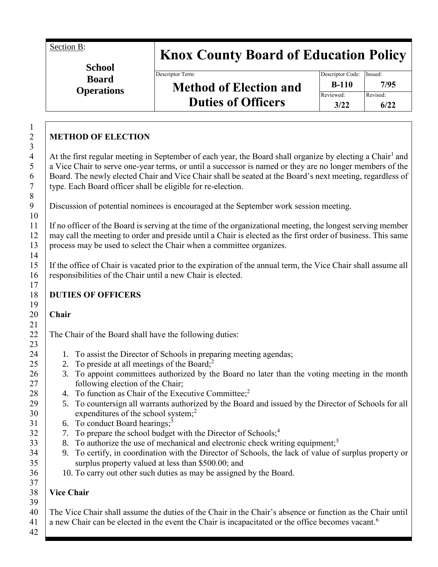Section B:

# **Knox County Board of Education Policy**

**School Board Operations**

## **Method of Election and Duties of Officers**

### **METHOD OF ELECTION**

At the first regular meeting in September of each year, the Board shall organize by electing a Chair<sup>1</sup> and a Vice Chair to serve one-year terms, or until a successor is named or they are no longer members of the Board. The newly elected Chair and Vice Chair shall be seated at the Board's next meeting, regardless of type. Each Board officer shall be eligible for re-election.

Discussion of potential nominees is encouraged at the September work session meeting.

If no officer of the Board is serving at the time of the organizational meeting, the longest serving member may call the meeting to order and preside until a Chair is elected as the first order of business. This same process may be used to select the Chair when a committee organizes.

If the office of Chair is vacated prior to the expiration of the annual term, the Vice Chair shall assume all responsibilities of the Chair until a new Chair is elected.

#### **DUTIES OF OFFICERS**

#### **Chair**

The Chair of the Board shall have the following duties:

- 1. To assist the Director of Schools in preparing meeting agendas;
- 2. To preside at all meetings of the Board;<sup>2</sup>
- 3. To appoint committees authorized by the Board no later than the voting meeting in the month following election of the Chair;
- 4. To function as Chair of the Executive Committee:<sup>2</sup>
- 5. To countersign all warrants authorized by the Board and issued by the Director of Schools for all expenditures of the school system;<sup>2</sup>
- 6. To conduct Board hearings;<sup>3</sup>
- 7. To prepare the school budget with the Director of Schools;<sup>4</sup>
- 8. To authorize the use of mechanical and electronic check writing equipment;<sup>5</sup>
- 9. To certify, in coordination with the Director of Schools, the lack of value of surplus property or surplus property valued at less than \$500.00; and
- 10. To carry out other such duties as may be assigned by the Board.

### **Vice Chair**

42

The Vice Chair shall assume the duties of the Chair in the Chair's absence or function as the Chair until

a new Chair can be elected in the event the Chair is incapacitated or the office becomes vacant.<sup>6</sup>